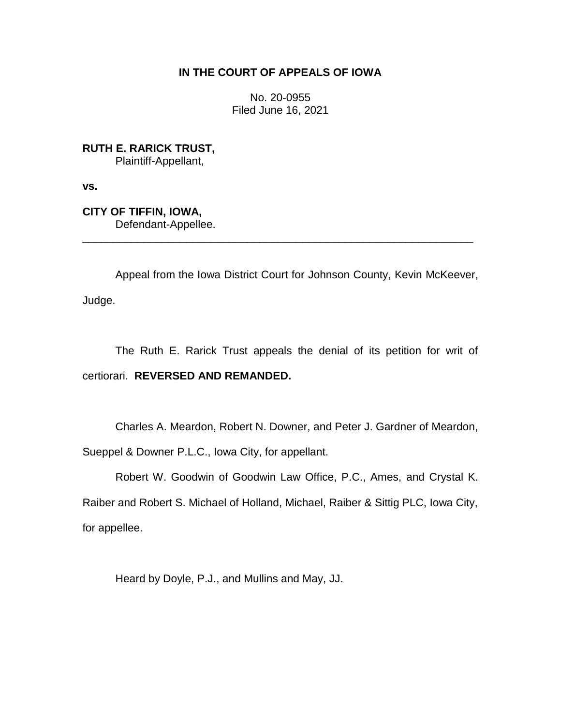# **IN THE COURT OF APPEALS OF IOWA**

No. 20-0955 Filed June 16, 2021

**RUTH E. RARICK TRUST,** Plaintiff-Appellant,

**vs.**

**CITY OF TIFFIN, IOWA,** Defendant-Appellee. \_\_\_\_\_\_\_\_\_\_\_\_\_\_\_\_\_\_\_\_\_\_\_\_\_\_\_\_\_\_\_\_\_\_\_\_\_\_\_\_\_\_\_\_\_\_\_\_\_\_\_\_\_\_\_\_\_\_\_\_\_\_\_\_

Appeal from the Iowa District Court for Johnson County, Kevin McKeever,

Judge.

The Ruth E. Rarick Trust appeals the denial of its petition for writ of certiorari. **REVERSED AND REMANDED.**

Charles A. Meardon, Robert N. Downer, and Peter J. Gardner of Meardon, Sueppel & Downer P.L.C., Iowa City, for appellant.

Robert W. Goodwin of Goodwin Law Office, P.C., Ames, and Crystal K. Raiber and Robert S. Michael of Holland, Michael, Raiber & Sittig PLC, Iowa City, for appellee.

Heard by Doyle, P.J., and Mullins and May, JJ.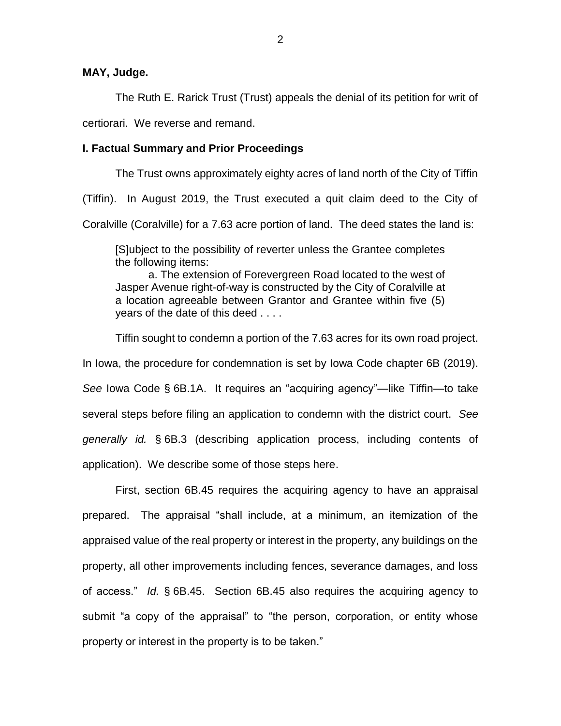**MAY, Judge.**

The Ruth E. Rarick Trust (Trust) appeals the denial of its petition for writ of

certiorari. We reverse and remand.

## **I. Factual Summary and Prior Proceedings**

The Trust owns approximately eighty acres of land north of the City of Tiffin

(Tiffin). In August 2019, the Trust executed a quit claim deed to the City of

Coralville (Coralville) for a 7.63 acre portion of land. The deed states the land is:

[S]ubject to the possibility of reverter unless the Grantee completes the following items:

a. The extension of Forevergreen Road located to the west of Jasper Avenue right-of-way is constructed by the City of Coralville at a location agreeable between Grantor and Grantee within five (5) years of the date of this deed . . . .

Tiffin sought to condemn a portion of the 7.63 acres for its own road project.

In Iowa, the procedure for condemnation is set by Iowa Code chapter 6B (2019).

*See* Iowa Code § 6B.1A. It requires an "acquiring agency"—like Tiffin—to take several steps before filing an application to condemn with the district court. *See generally id.* § 6B.3 (describing application process, including contents of application). We describe some of those steps here.

First, section 6B.45 requires the acquiring agency to have an appraisal prepared. The appraisal "shall include, at a minimum, an itemization of the appraised value of the real property or interest in the property, any buildings on the property, all other improvements including fences, severance damages, and loss of access." *Id.* § 6B.45. Section 6B.45 also requires the acquiring agency to submit "a copy of the appraisal" to "the person, corporation, or entity whose property or interest in the property is to be taken."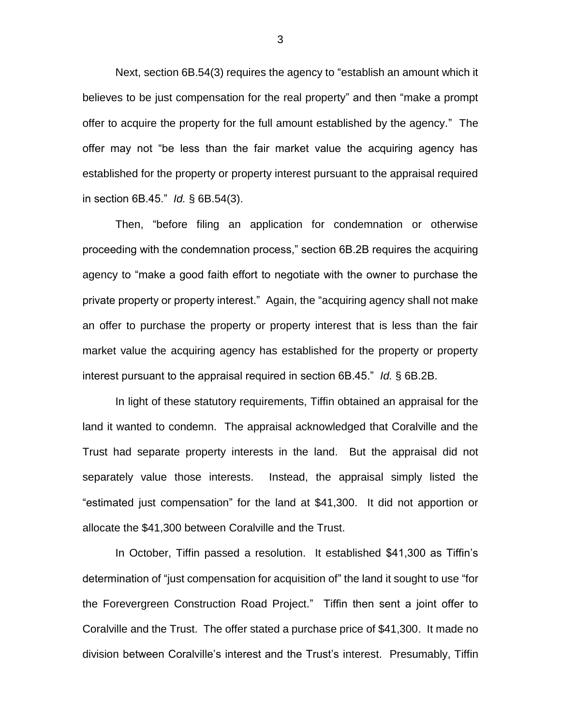Next, section 6B.54(3) requires the agency to "establish an amount which it believes to be just compensation for the real property" and then "make a prompt offer to acquire the property for the full amount established by the agency." The offer may not "be less than the fair market value the acquiring agency has established for the property or property interest pursuant to the appraisal required in section 6B.45." *Id.* § 6B.54(3).

Then, "before filing an application for condemnation or otherwise proceeding with the condemnation process," section 6B.2B requires the acquiring agency to "make a good faith effort to negotiate with the owner to purchase the private property or property interest." Again, the "acquiring agency shall not make an offer to purchase the property or property interest that is less than the fair market value the acquiring agency has established for the property or property interest pursuant to the appraisal required in section 6B.45." *Id.* § 6B.2B.

In light of these statutory requirements, Tiffin obtained an appraisal for the land it wanted to condemn. The appraisal acknowledged that Coralville and the Trust had separate property interests in the land. But the appraisal did not separately value those interests. Instead, the appraisal simply listed the "estimated just compensation" for the land at \$41,300. It did not apportion or allocate the \$41,300 between Coralville and the Trust.

In October, Tiffin passed a resolution. It established \$41,300 as Tiffin's determination of "just compensation for acquisition of" the land it sought to use "for the Forevergreen Construction Road Project." Tiffin then sent a joint offer to Coralville and the Trust. The offer stated a purchase price of \$41,300. It made no division between Coralville's interest and the Trust's interest. Presumably, Tiffin

3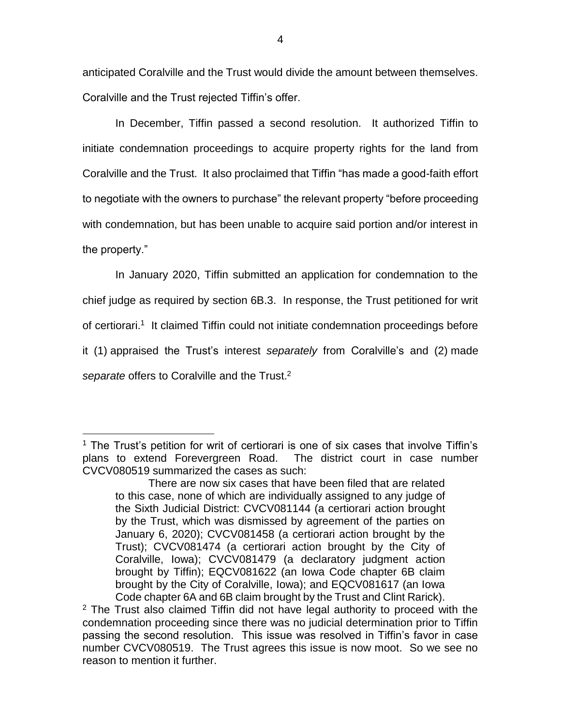anticipated Coralville and the Trust would divide the amount between themselves. Coralville and the Trust rejected Tiffin's offer.

In December, Tiffin passed a second resolution. It authorized Tiffin to initiate condemnation proceedings to acquire property rights for the land from Coralville and the Trust. It also proclaimed that Tiffin "has made a good-faith effort to negotiate with the owners to purchase" the relevant property "before proceeding with condemnation, but has been unable to acquire said portion and/or interest in the property."

In January 2020, Tiffin submitted an application for condemnation to the chief judge as required by section 6B.3. In response, the Trust petitioned for writ of certiorari.<sup>1</sup> It claimed Tiffin could not initiate condemnation proceedings before it (1) appraised the Trust's interest *separately* from Coralville's and (2) made *separate* offers to Coralville and the Trust. 2

 $\overline{a}$ 

<sup>&</sup>lt;sup>1</sup> The Trust's petition for writ of certiorari is one of six cases that involve Tiffin's plans to extend Forevergreen Road. The district court in case number CVCV080519 summarized the cases as such:

There are now six cases that have been filed that are related to this case, none of which are individually assigned to any judge of the Sixth Judicial District: CVCV081144 (a certiorari action brought by the Trust, which was dismissed by agreement of the parties on January 6, 2020); CVCV081458 (a certiorari action brought by the Trust); CVCV081474 (a certiorari action brought by the City of Coralville, Iowa); CVCV081479 (a declaratory judgment action brought by Tiffin); EQCV081622 (an Iowa Code chapter 6B claim brought by the City of Coralville, Iowa); and EQCV081617 (an Iowa Code chapter 6A and 6B claim brought by the Trust and Clint Rarick).

<sup>&</sup>lt;sup>2</sup> The Trust also claimed Tiffin did not have legal authority to proceed with the condemnation proceeding since there was no judicial determination prior to Tiffin passing the second resolution. This issue was resolved in Tiffin's favor in case number CVCV080519. The Trust agrees this issue is now moot. So we see no reason to mention it further.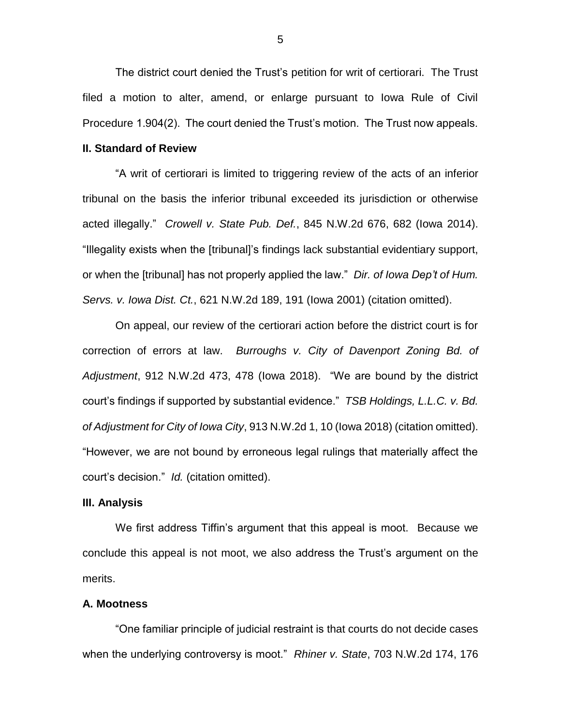The district court denied the Trust's petition for writ of certiorari. The Trust filed a motion to alter, amend, or enlarge pursuant to Iowa Rule of Civil Procedure 1.904(2). The court denied the Trust's motion. The Trust now appeals.

### **II. Standard of Review**

"A writ of certiorari is limited to triggering review of the acts of an inferior tribunal on the basis the inferior tribunal exceeded its jurisdiction or otherwise acted illegally." *Crowell v. State Pub. Def.*, 845 N.W.2d 676, 682 (Iowa 2014). "Illegality exists when the [tribunal]'s findings lack substantial evidentiary support, or when the [tribunal] has not properly applied the law." *Dir. of Iowa Dep't of Hum. Servs. v. Iowa Dist. Ct.*, 621 N.W.2d 189, 191 (Iowa 2001) (citation omitted).

On appeal, our review of the certiorari action before the district court is for correction of errors at law. *Burroughs v. City of Davenport Zoning Bd. of Adjustment*, 912 N.W.2d 473, 478 (Iowa 2018). "We are bound by the district court's findings if supported by substantial evidence." *TSB Holdings, L.L.C. v. Bd. of Adjustment for City of Iowa City*, 913 N.W.2d 1, 10 (Iowa 2018) (citation omitted). "However, we are not bound by erroneous legal rulings that materially affect the court's decision." *Id.* (citation omitted).

#### **III. Analysis**

We first address Tiffin's argument that this appeal is moot. Because we conclude this appeal is not moot, we also address the Trust's argument on the merits.

#### **A. Mootness**

"One familiar principle of judicial restraint is that courts do not decide cases when the underlying controversy is moot." *Rhiner v. State*, 703 N.W.2d 174, 176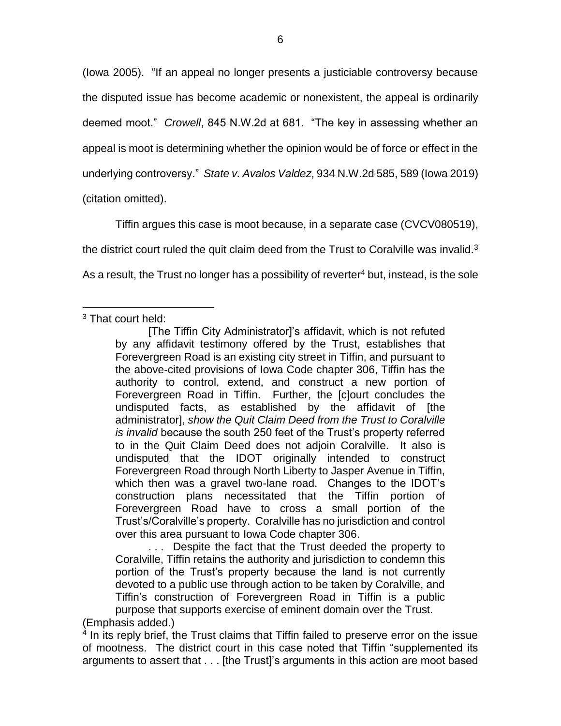(Iowa 2005). "If an appeal no longer presents a justiciable controversy because the disputed issue has become academic or nonexistent, the appeal is ordinarily deemed moot." *Crowell*, 845 N.W.2d at 681. "The key in assessing whether an appeal is moot is determining whether the opinion would be of force or effect in the underlying controversy." *State v. Avalos Valdez*, 934 N.W.2d 585, 589 (Iowa 2019) (citation omitted).

Tiffin argues this case is moot because, in a separate case (CVCV080519), the district court ruled the quit claim deed from the Trust to Coralville was invalid. $3$ As a result, the Trust no longer has a possibility of reverter<sup>4</sup> but, instead, is the sole

. . . Despite the fact that the Trust deeded the property to Coralville, Tiffin retains the authority and jurisdiction to condemn this portion of the Trust's property because the land is not currently devoted to a public use through action to be taken by Coralville, and Tiffin's construction of Forevergreen Road in Tiffin is a public purpose that supports exercise of eminent domain over the Trust.

(Emphasis added.)

<sup>4</sup> In its reply brief, the Trust claims that Tiffin failed to preserve error on the issue of mootness. The district court in this case noted that Tiffin "supplemented its arguments to assert that . . . [the Trust]'s arguments in this action are moot based

 $\overline{a}$  $3$  That court held:

<sup>[</sup>The Tiffin City Administrator]'s affidavit, which is not refuted by any affidavit testimony offered by the Trust, establishes that Forevergreen Road is an existing city street in Tiffin, and pursuant to the above-cited provisions of Iowa Code chapter 306, Tiffin has the authority to control, extend, and construct a new portion of Forevergreen Road in Tiffin. Further, the [c]ourt concludes the undisputed facts, as established by the affidavit of [the administrator], *show the Quit Claim Deed from the Trust to Coralville is invalid* because the south 250 feet of the Trust's property referred to in the Quit Claim Deed does not adjoin Coralville. It also is undisputed that the IDOT originally intended to construct Forevergreen Road through North Liberty to Jasper Avenue in Tiffin, which then was a gravel two-lane road. Changes to the IDOT's construction plans necessitated that the Tiffin portion of Forevergreen Road have to cross a small portion of the Trust's/Coralville's property. Coralville has no jurisdiction and control over this area pursuant to Iowa Code chapter 306.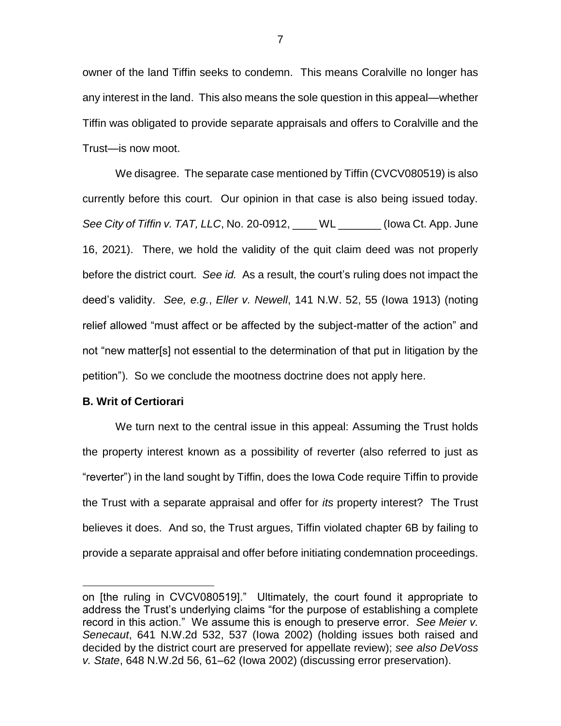owner of the land Tiffin seeks to condemn. This means Coralville no longer has any interest in the land. This also means the sole question in this appeal—whether Tiffin was obligated to provide separate appraisals and offers to Coralville and the Trust—is now moot.

We disagree. The separate case mentioned by Tiffin (CVCV080519) is also currently before this court. Our opinion in that case is also being issued today. *See City of Tiffin v. TAT, LLC*, No. 20-0912, \_\_\_\_ WL \_\_\_\_\_\_\_ (Iowa Ct. App. June 16, 2021). There, we hold the validity of the quit claim deed was not properly before the district court. *See id.* As a result, the court's ruling does not impact the deed's validity. *See, e.g.*, *Eller v. Newell*, 141 N.W. 52, 55 (Iowa 1913) (noting relief allowed "must affect or be affected by the subject-matter of the action" and not "new matter[s] not essential to the determination of that put in litigation by the petition"). So we conclude the mootness doctrine does not apply here.

#### **B. Writ of Certiorari**

 $\overline{a}$ 

We turn next to the central issue in this appeal: Assuming the Trust holds the property interest known as a possibility of reverter (also referred to just as "reverter") in the land sought by Tiffin, does the Iowa Code require Tiffin to provide the Trust with a separate appraisal and offer for *its* property interest? The Trust believes it does. And so, the Trust argues, Tiffin violated chapter 6B by failing to provide a separate appraisal and offer before initiating condemnation proceedings.

on [the ruling in CVCV080519]." Ultimately, the court found it appropriate to address the Trust's underlying claims "for the purpose of establishing a complete record in this action." We assume this is enough to preserve error. *See Meier v. Senecaut*, 641 N.W.2d 532, 537 (Iowa 2002) (holding issues both raised and decided by the district court are preserved for appellate review); *see also DeVoss v. State*, 648 N.W.2d 56, 61–62 (Iowa 2002) (discussing error preservation).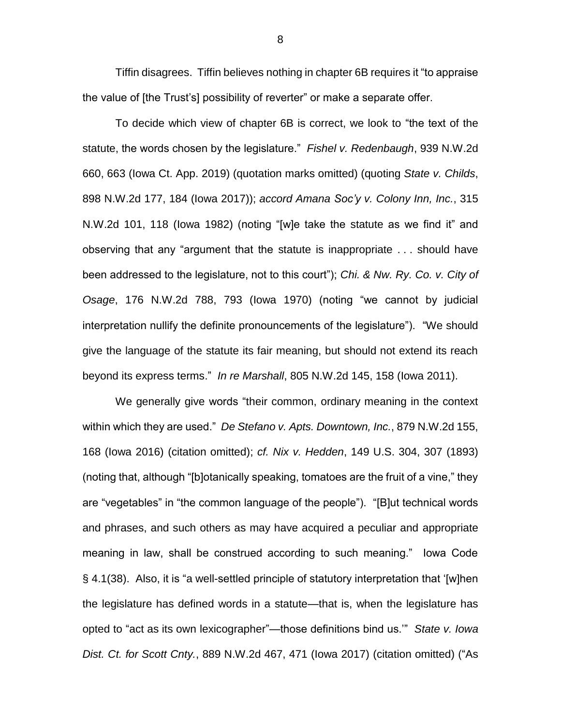Tiffin disagrees. Tiffin believes nothing in chapter 6B requires it "to appraise the value of [the Trust's] possibility of reverter" or make a separate offer.

To decide which view of chapter 6B is correct, we look to "the text of the statute, the words chosen by the legislature." *Fishel v. Redenbaugh*, 939 N.W.2d 660, 663 (Iowa Ct. App. 2019) (quotation marks omitted) (quoting *State v. Childs*, 898 N.W.2d 177, 184 (Iowa 2017)); *accord Amana Soc'y v. Colony Inn, Inc.*, 315 N.W.2d 101, 118 (Iowa 1982) (noting "[w]e take the statute as we find it" and observing that any "argument that the statute is inappropriate . . . should have been addressed to the legislature, not to this court"); *Chi. & Nw. Ry. Co. v. City of Osage*, 176 N.W.2d 788, 793 (Iowa 1970) (noting "we cannot by judicial interpretation nullify the definite pronouncements of the legislature"). "We should give the language of the statute its fair meaning, but should not extend its reach beyond its express terms." *In re Marshall*, 805 N.W.2d 145, 158 (Iowa 2011).

We generally give words "their common, ordinary meaning in the context within which they are used." *De Stefano v. Apts. Downtown, Inc.*, 879 N.W.2d 155, 168 (Iowa 2016) (citation omitted); *cf. Nix v. Hedden*, 149 U.S. 304, 307 (1893) (noting that, although "[b]otanically speaking, tomatoes are the fruit of a vine," they are "vegetables" in "the common language of the people"). "[B]ut technical words and phrases, and such others as may have acquired a peculiar and appropriate meaning in law, shall be construed according to such meaning." Iowa Code § 4.1(38). Also, it is "a well-settled principle of statutory interpretation that '[w]hen the legislature has defined words in a statute—that is, when the legislature has opted to "act as its own lexicographer"—those definitions bind us.'" *State v. Iowa Dist. Ct. for Scott Cnty.*, 889 N.W.2d 467, 471 (Iowa 2017) (citation omitted) ("As

8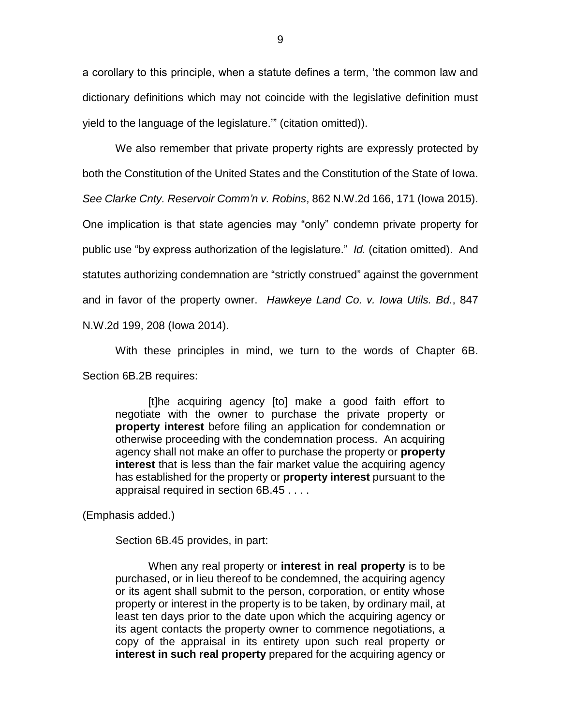a corollary to this principle, when a statute defines a term, 'the common law and dictionary definitions which may not coincide with the legislative definition must yield to the language of the legislature.'" (citation omitted)).

We also remember that private property rights are expressly protected by both the Constitution of the United States and the Constitution of the State of Iowa. *See Clarke Cnty. Reservoir Comm'n v. Robins*, 862 N.W.2d 166, 171 (Iowa 2015). One implication is that state agencies may "only" condemn private property for public use "by express authorization of the legislature." *Id.* (citation omitted). And statutes authorizing condemnation are "strictly construed" against the government and in favor of the property owner. *Hawkeye Land Co. v. Iowa Utils. Bd.*, 847 N.W.2d 199, 208 (Iowa 2014).

With these principles in mind, we turn to the words of Chapter 6B. Section 6B.2B requires:

[t]he acquiring agency [to] make a good faith effort to negotiate with the owner to purchase the private property or **property interest** before filing an application for condemnation or otherwise proceeding with the condemnation process. An acquiring agency shall not make an offer to purchase the property or **property interest** that is less than the fair market value the acquiring agency has established for the property or **property interest** pursuant to the appraisal required in section 6B.45 . . . .

(Emphasis added.)

Section 6B.45 provides, in part:

When any real property or **interest in real property** is to be purchased, or in lieu thereof to be condemned, the acquiring agency or its agent shall submit to the person, corporation, or entity whose property or interest in the property is to be taken, by ordinary mail, at least ten days prior to the date upon which the acquiring agency or its agent contacts the property owner to commence negotiations, a copy of the appraisal in its entirety upon such real property or **interest in such real property** prepared for the acquiring agency or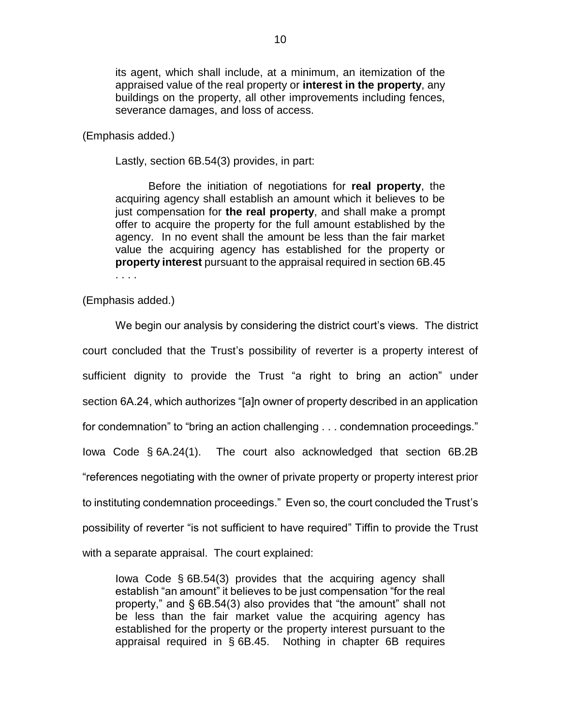its agent, which shall include, at a minimum, an itemization of the appraised value of the real property or **interest in the property**, any buildings on the property, all other improvements including fences, severance damages, and loss of access.

(Emphasis added.)

Lastly, section 6B.54(3) provides, in part:

Before the initiation of negotiations for **real property**, the acquiring agency shall establish an amount which it believes to be just compensation for **the real property**, and shall make a prompt offer to acquire the property for the full amount established by the agency. In no event shall the amount be less than the fair market value the acquiring agency has established for the property or **property interest** pursuant to the appraisal required in section 6B.45 . . . .

(Emphasis added.)

We begin our analysis by considering the district court's views. The district court concluded that the Trust's possibility of reverter is a property interest of sufficient dignity to provide the Trust "a right to bring an action" under section 6A.24, which authorizes "[a]n owner of property described in an application for condemnation" to "bring an action challenging . . . condemnation proceedings." Iowa Code § 6A.24(1). The court also acknowledged that section 6B.2B "references negotiating with the owner of private property or property interest prior to instituting condemnation proceedings." Even so, the court concluded the Trust's possibility of reverter "is not sufficient to have required" Tiffin to provide the Trust with a separate appraisal. The court explained:

Iowa Code § 6B.54(3) provides that the acquiring agency shall establish "an amount" it believes to be just compensation "for the real property," and § 6B.54(3) also provides that "the amount" shall not be less than the fair market value the acquiring agency has established for the property or the property interest pursuant to the appraisal required in § 6B.45. Nothing in chapter 6B requires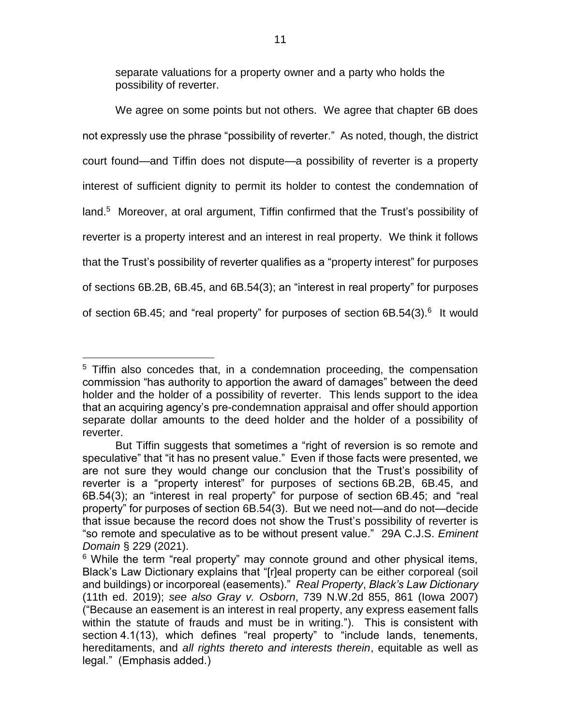separate valuations for a property owner and a party who holds the possibility of reverter.

We agree on some points but not others. We agree that chapter 6B does not expressly use the phrase "possibility of reverter." As noted, though, the district court found—and Tiffin does not dispute—a possibility of reverter is a property interest of sufficient dignity to permit its holder to contest the condemnation of land.<sup>5</sup> Moreover, at oral argument, Tiffin confirmed that the Trust's possibility of reverter is a property interest and an interest in real property. We think it follows that the Trust's possibility of reverter qualifies as a "property interest" for purposes of sections 6B.2B, 6B.45, and 6B.54(3); an "interest in real property" for purposes of section 6B.45; and "real property" for purposes of section 6B.54(3).<sup>6</sup> It would

 $\overline{a}$ <sup>5</sup> Tiffin also concedes that, in a condemnation proceeding, the compensation commission "has authority to apportion the award of damages" between the deed holder and the holder of a possibility of reverter. This lends support to the idea that an acquiring agency's pre-condemnation appraisal and offer should apportion separate dollar amounts to the deed holder and the holder of a possibility of reverter.

But Tiffin suggests that sometimes a "right of reversion is so remote and speculative" that "it has no present value." Even if those facts were presented, we are not sure they would change our conclusion that the Trust's possibility of reverter is a "property interest" for purposes of sections 6B.2B, 6B.45, and 6B.54(3); an "interest in real property" for purpose of section 6B.45; and "real property" for purposes of section 6B.54(3). But we need not—and do not—decide that issue because the record does not show the Trust's possibility of reverter is "so remote and speculative as to be without present value." 29A C.J.S. *Eminent Domain* § 229 (2021).

 $6$  While the term "real property" may connote ground and other physical items, Black's Law Dictionary explains that "[r]eal property can be either corporeal (soil and buildings) or incorporeal (easements)." *Real Property*, *Black's Law Dictionary* (11th ed. 2019); *see also Gray v. Osborn*, 739 N.W.2d 855, 861 (Iowa 2007) ("Because an easement is an interest in real property, any express easement falls within the statute of frauds and must be in writing."). This is consistent with section 4.1(13), which defines "real property" to "include lands, tenements, hereditaments, and *all rights thereto and interests therein*, equitable as well as legal." (Emphasis added.)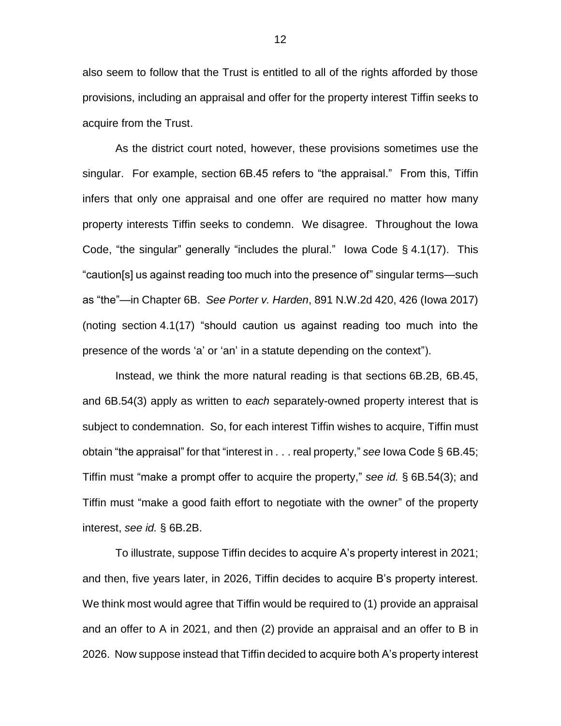also seem to follow that the Trust is entitled to all of the rights afforded by those provisions, including an appraisal and offer for the property interest Tiffin seeks to acquire from the Trust.

As the district court noted, however, these provisions sometimes use the singular. For example, section 6B.45 refers to "the appraisal." From this, Tiffin infers that only one appraisal and one offer are required no matter how many property interests Tiffin seeks to condemn. We disagree. Throughout the Iowa Code, "the singular" generally "includes the plural." Iowa Code § 4.1(17). This "caution[s] us against reading too much into the presence of" singular terms—such as "the"—in Chapter 6B. *See Porter v. Harden*, 891 N.W.2d 420, 426 (Iowa 2017) (noting section 4.1(17) "should caution us against reading too much into the presence of the words 'a' or 'an' in a statute depending on the context").

Instead, we think the more natural reading is that sections 6B.2B, 6B.45, and 6B.54(3) apply as written to *each* separately-owned property interest that is subject to condemnation. So, for each interest Tiffin wishes to acquire, Tiffin must obtain "the appraisal" for that "interest in . . . real property," *see* Iowa Code § 6B.45; Tiffin must "make a prompt offer to acquire the property," *see id.* § 6B.54(3); and Tiffin must "make a good faith effort to negotiate with the owner" of the property interest, *see id.* § 6B.2B.

To illustrate, suppose Tiffin decides to acquire A's property interest in 2021; and then, five years later, in 2026, Tiffin decides to acquire B's property interest. We think most would agree that Tiffin would be required to (1) provide an appraisal and an offer to A in 2021, and then (2) provide an appraisal and an offer to B in 2026. Now suppose instead that Tiffin decided to acquire both A's property interest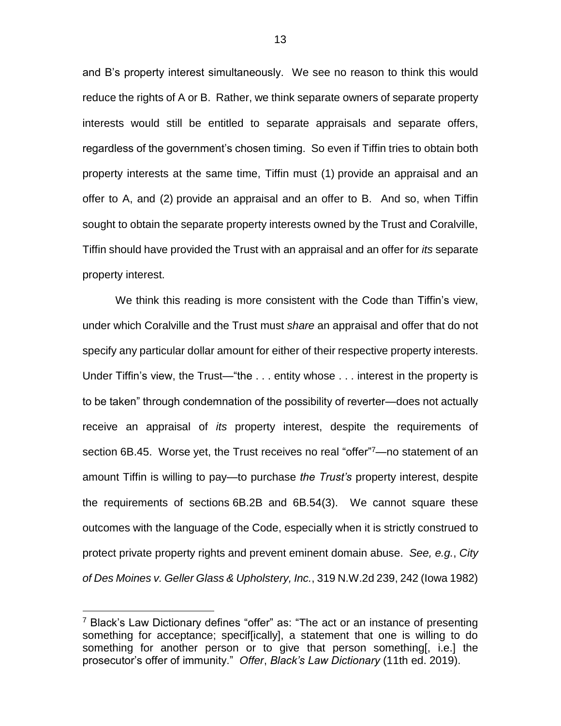and B's property interest simultaneously. We see no reason to think this would reduce the rights of A or B. Rather, we think separate owners of separate property interests would still be entitled to separate appraisals and separate offers, regardless of the government's chosen timing. So even if Tiffin tries to obtain both property interests at the same time, Tiffin must (1) provide an appraisal and an offer to A, and (2) provide an appraisal and an offer to B. And so, when Tiffin sought to obtain the separate property interests owned by the Trust and Coralville, Tiffin should have provided the Trust with an appraisal and an offer for *its* separate property interest.

We think this reading is more consistent with the Code than Tiffin's view, under which Coralville and the Trust must *share* an appraisal and offer that do not specify any particular dollar amount for either of their respective property interests. Under Tiffin's view, the Trust—"the . . . entity whose . . . interest in the property is to be taken" through condemnation of the possibility of reverter—does not actually receive an appraisal of *its* property interest, despite the requirements of section 6B.45. Worse yet, the Trust receives no real "offer"<sup>7</sup>—no statement of an amount Tiffin is willing to pay—to purchase *the Trust's* property interest, despite the requirements of sections 6B.2B and 6B.54(3). We cannot square these outcomes with the language of the Code, especially when it is strictly construed to protect private property rights and prevent eminent domain abuse. *See, e.g.*, *City of Des Moines v. Geller Glass & Upholstery, Inc.*, 319 N.W.2d 239, 242 (Iowa 1982)

 $\overline{a}$ 

<sup>&</sup>lt;sup>7</sup> Black's Law Dictionary defines "offer" as: "The act or an instance of presenting something for acceptance; specif[ically], a statement that one is willing to do something for another person or to give that person something[, i.e.] the prosecutor's offer of immunity." *Offer*, *Black's Law Dictionary* (11th ed. 2019).